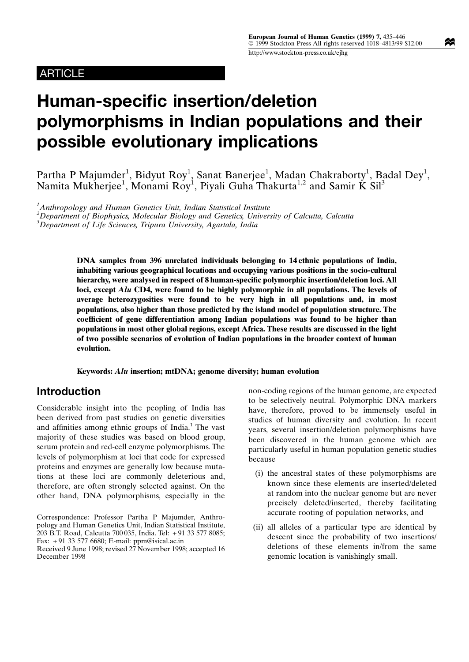# ARTICLE

# **Human-specific insertion/deletion polymorphisms in Indian populations and their possible evolutionary implications**

Partha P Majumder<sup>1</sup>, Bidyut Roy<sup>1</sup>, Sanat Banerjee<sup>1</sup>, Madan Chakraborty<sup>1</sup>, Badal Dey<sup>1</sup>, Namita Mukherjee<sup>1</sup>, Monami Roy<sup>1</sup>, Piyali Guha Thakurta<sup>1,2</sup> and Samir K Sil<sup>3</sup>

*1 Anthropology and Human Genetics Unit, Indian Statistical Institute 2 Department of Biophysics, Molecular Biology and Genetics, University of Calcutta, Calcutta 3 Department of Life Sciences, Tripura University, Agartala, India*

> **DNA samples from 396 unrelated individuals belonging to 14 ethnic populations of India, inhabiting various geographical locations and occupying various positions in the socio-cultural hierarchy, were analysed in respect of 8 human-specific polymorphic insertion/deletion loci. All loci, except** *Alu* **CD4, were found to be highly polymorphic in all populations. The levels of average heterozygosities were found to be very high in all populations and, in most populations, also higher than those predicted by the island model of population structure. The coefficient of gene differentiation among Indian populations was found to be higher than populations in most other global regions, except Africa. These results are discussed in the light of two possible scenarios of evolution of Indian populations in the broader context of human evolution.**

**Keywords:** *Alu* **insertion; mtDNA; genome diversity; human evolution**

# **Introduction**

Considerable insight into the peopling of India has been derived from past studies on genetic diversities and affinities among ethnic groups of India.<sup>1</sup> The vast majority of these studies was based on blood group, serum protein and red-cell enzyme polymorphisms. The levels of polymorphism at loci that code for expressed proteins and enzymes are generally low because mutations at these loci are commonly deleterious and, therefore, are often strongly selected against. On the other hand, DNA polymorphisms, especially in the

non-coding regions of the human genome, are expected to be selectively neutral. Polymorphic DNA markers have, therefore, proved to be immensely useful in studies of human diversity and evolution. In recent years, several insertion/deletion polymorphisms have been discovered in the human genome which are particularly useful in human population genetic studies because

- (i) the ancestral states of these polymorphisms are known since these elements are inserted/deleted at random into the nuclear genome but are never precisely deleted/inserted, thereby facilitating accurate rooting of population networks, and
- (ii) all alleles of a particular type are identical by descent since the probability of two insertions/ deletions of these elements in/from the same genomic location is vanishingly small.

Correspondence: Professor Partha P Majumder, Anthropology and Human Genetics Unit, Indian Statistical Institute, 203 B.T. Road, Calcutta 700 035, India. Tel: + 91 33 577 8085; Fax: + 91 33 577 6680; E-mail: ppm@isical.ac.in

Received 9 June 1998; revised 27 November 1998; accepted 16 December 1998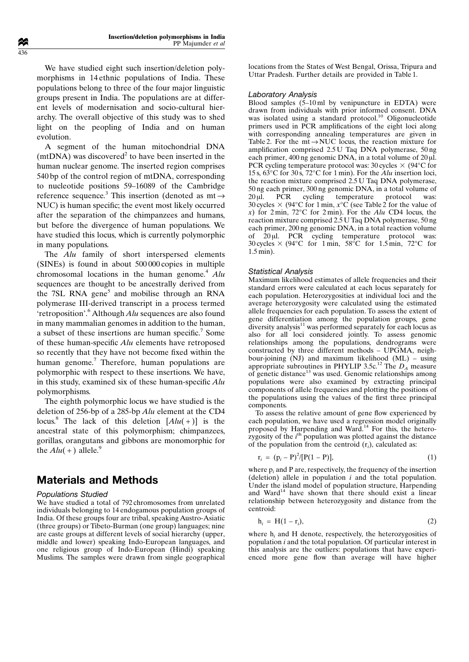We have studied eight such insertion/deletion polymorphisms in 14 ethnic populations of India. These populations belong to three of the four major linguistic groups present in India. The populations are at different levels of modernisation and socio-cultural hierarchy. The overall objective of this study was to shed light on the peopling of India and on human evolution.

A segment of the human mitochondrial DNA  $(mtDNA)$  was discovered<sup>2</sup> to have been inserted in the human nuclear genome. The inserted region comprises 540 bp of the control region of mtDNA, corresponding to nucleotide positions 59–16089 of the Cambridge reference sequence.<sup>3</sup> This insertion (denoted as  $mt \rightarrow$ NUC) is human specific; the event most likely occurred after the separation of the chimpanzees and humans, but before the divergence of human populations. We have studied this locus, which is currently polymorphic in many populations.

The *Alu* family of short interspersed elements (SINEs) is found in about 500 000 copies in multiple chromosomal locations in the human genome.<sup>4</sup> *Alu* sequences are thought to be ancestrally derived from the 7SL RNA gene<sup>5</sup> and mobilise through an RNA polymerase III-derived transcript in a process termed 'retroposition'.<sup>6</sup> Although *Alu* sequences are also found in many mammalian genomes in addition to the human, a subset of these insertions are human specific.<sup>7</sup> Some of these human-specific *Alu* elements have retroposed so recently that they have not become fixed within the human genome.<sup>7</sup> Therefore, human populations are polymorphic with respect to these insertions. We have, in this study, examined six of these human-specific *Alu* polymorphisms.

The eighth polymorphic locus we have studied is the deletion of 256-bp of a 285-bp *Alu* element at the CD4 locus.<sup>8</sup> The lack of this deletion  $[Alu(+)]$  is the ancestral state of this polymorphism; chimpanzees, gorillas, orangutans and gibbons are monomorphic for the  $Alu(+)$  allele.<sup>9</sup>

# **Materials and Methods**

#### *Populations Studied*

We have studied a total of 792 chromosomes from unrelated individuals belonging to 14 endogamous population groups of India. Of these groups four are tribal, speaking Austro-Asiatic (three groups) or Tibeto-Burman (one group) languages; nine are caste groups at different levels of social hierarchy (upper, middle and lower) speaking Indo-European languages, and one religious group of Indo-European (Hindi) speaking Muslims. The samples were drawn from single geographical

locations from the States of West Bengal, Orissa, Tripura and Uttar Pradesh. Further details are provided in Table 1.

#### *Laboratory Analysis*

Blood samples (5–10 ml by venipuncture in EDTA) were drawn from individuals with prior informed consent. DNA was isolated using a standard protocol.<sup>10</sup> Oligonucleotide primers used in PCR amplifications of the eight loci along with corresponding annealing temperatures are given in Table 2. For the  $mt \rightarrow NUC$  locus, the reaction mixture for amplification comprised 2.5 U Taq DNA polymerase, 50 ng each primer,  $400$  ng genomic DNA, in a total volume of  $20 \mu$ . PCR cycling temperature protocol was: 30 cycles  $\times$  (94 °C for 15 s, 63°C for 30 s, 72°C for 1 min). For the *Alu* insertion loci, the reaction mixture comprised 2.5 U Taq DNA polymerase, 50 ng each primer, 300 ng genomic DNA, in a total volume of  $20 \mu$ . PCR cycling temperature protocol was: 20 µl. PCR cycling temperature protocol was: 30 cycles  $\times$  (94 °C for 1 min,  $x$  °C (see Table 2 for the value of *x*) for 2 min, 72°C for 2 min). For the *Alu* CD4 locus, the reaction mixture comprised 2.5 U Taq DNA polymerase, 50 ng each primer, 200 ng genomic DNA, in a total reaction volume of  $20 \mu l$ . PCR cycling temperature protocol was: 30 cycles  $\times$  (94°C for 1 min, 58°C for 1.5 min, 72°C for 1.5 min).

#### *Statistical Analysis*

Maximum likelihood estimates of allele frequencies and their standard errors were calculated at each locus separately for each population. Heterozygosities at individual loci and the average heterozygosity were calculated using the estimated allele frequencies for each population. To assess the extent of gene differentiation among the population groups, gene diversity analysis<sup>11</sup> was performed separately for each locus as also for all loci considered jointly. To assess genomic relationships among the populations, dendrograms were constructed by three different methods – UPGMA, neighbour-joining (NJ) and maximum likelihood (ML) – using<br>appropriate subroutines in PHYLIP 3.5c.<sup>12</sup> The *D<sub>A</sub>* measure of genetic distance<sup>13</sup> was used. Genomic relationships among populations were also examined by extracting principal components of allele frequencies and plotting the positions of the populations using the values of the first three principal components.

To assess the relative amount of gene flow experienced by each population, we have used a regression model originally proposed by Harpending and Ward.<sup>14</sup> For this, the heterozygosity of the *i*<sup>th</sup> population was plotted against the distance of the population from the centroid (r*<sup>i</sup>* ), calculated as:

$$
r_i = (p_i - P)^2/[P(1 - P)], \qquad (1)
$$

where  $p_i$  and P are, respectively, the frequency of the insertion (deletion) allele in population *i* and the total population. Under the island model of population structure, Harpending and Ward<sup>14</sup> have shown that there should exist a linear relationship between heterozygosity and distance from the centroid:

$$
h_i = H(1 - r_i), \tag{2}
$$

where h<sub>i</sub> and H denote, respectively, the heterozygosities of population *i* and the total population. Of particular interest in this analysis are the outliers: populations that have experienced more gene flow than average will have higher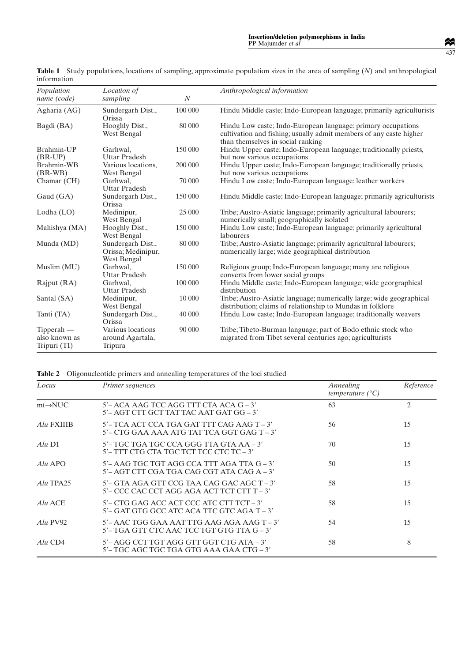| Population<br>name (code)                 | Location of<br>sampling                                | $\cal N$  | Anthropological information                                                                                                                                             |
|-------------------------------------------|--------------------------------------------------------|-----------|-------------------------------------------------------------------------------------------------------------------------------------------------------------------------|
| Agharia (AG)                              | Sundergarh Dist.,<br>Orissa                            | 100 000   | Hindu Middle caste; Indo-European language; primarily agriculturists                                                                                                    |
| Bagdi (BA)                                | Hooghly Dist.,<br>West Bengal                          | 80 000    | Hindu Low caste; Indo-European language; primary occupations<br>cultivation and fishing; usually admit members of any caste higher<br>than themselves in social ranking |
| Brahmin-UP<br>$(BR-UP)$                   | Garhwal,<br><b>Uttar Pradesh</b>                       | 150 000   | Hindu Upper caste; Indo-European language; traditionally priests,<br>but now various occupations                                                                        |
| Brahmin-WB<br>$(BR-WB)$                   | Various locations,<br>West Bengal                      | 200 000   | Hindu Upper caste; Indo-European language; traditionally priests,<br>but now various occupations                                                                        |
| Chamar (CH)                               | Garhwal.<br><b>Uttar Pradesh</b>                       | 70 000    | Hindu Low caste; Indo-European language; leather workers                                                                                                                |
| Gaud (GA)                                 | Sundergarh Dist.,<br>Orissa                            | 150 000   | Hindu Middle caste; Indo-European language; primarily agriculturists                                                                                                    |
| Lodha $(LO)$                              | Medinipur,<br>West Bengal                              | 25 000    | Tribe; Austro-Asiatic language; primarily agricultural labourers;<br>numerically small; geographically isolated                                                         |
| Mahishya (MA)                             | Hooghly Dist.,<br>West Bengal                          | 150 000   | Hindu Low caste; Indo-European language; primarily agricultural<br>labourers                                                                                            |
| Munda (MD)                                | Sundergarh Dist.,<br>Orissa; Medinipur,<br>West Bengal | 80 000    | Tribe; Austro-Asiatic language; primarily agricultural labourers;<br>numerically large; wide geographical distribution                                                  |
| Muslim (MU)                               | Garhwal,<br><b>Uttar Pradesh</b>                       | 150 000   | Religious group; Indo-European language; many are religious<br>converts from lower social groups                                                                        |
| Rajput (RA)                               | Garhwal,<br><b>Uttar Pradesh</b>                       | 100 000   | Hindu Middle caste; Indo-European language; wide georgraphical<br>distribution                                                                                          |
| Santal (SA)                               | Medinipur,<br>West Bengal                              | $10\,000$ | Tribe; Austro-Asiatic language; numerically large; wide geographical<br>distribution; claims of relationship to Mundas in folklore                                      |
| Tanti (TA)                                | Sundergarh Dist.,<br>Orissa                            | 40 000    | Hindu Low caste; Indo-European language; traditionally weavers                                                                                                          |
| Tipperah<br>also known as<br>Tripuri (TI) | Various locations<br>around Agartala,<br>Tripura       | 90 000    | Tribe; Tibeto-Burman language; part of Bodo ethnic stock who<br>migrated from Tibet several centuries ago; agriculturists                                               |

**Table 1** Study populations, locations of sampling, approximate population sizes in the area of sampling (*N*) and anthropological information

**Table 2** Oligonucleotide primers and annealing temperatures of the loci studied

| Locus                | Primer sequences                                                                               | Annealing<br>temperature $(^{\circ}C)$ | Reference |
|----------------------|------------------------------------------------------------------------------------------------|----------------------------------------|-----------|
| $mt \rightarrow NUC$ | $5'$ – ACA AAG TCC AGG TTT CTA ACA G – 3'<br>$5'$ – AGT CTT GCT TAT TAC AAT GAT GG – 3'        | 63                                     | 2         |
| $Alu$ FXIIIB         | 5' – TCA ACT CCA TGA GAT TTT CAG AAG T – 3'<br>$5'$ – CTG GAA AAA ATG TAT TCA GGT GAG T – 3'   | 56                                     | 15        |
| $Alu$ D1             | 5'– TGC TGA TGC CCA GGG TTA GTA AA – 3'<br>5'-TIT CTG CTA TGC TCT TCC CTC TC - 3'              | 70                                     | 15        |
| $Alu$ APO            | $5'$ – AAG TGC TGT AGG CCA TTT AGA TTA G – 3'<br>5' – AGT CTT CGA TGA CAG CGT ATA CAG A – 3'   | 50                                     | 15        |
| $Alu$ TPA25          | $5'$ – GTA AGA GTT CCG TAA CAG GAC AGC T – 3'<br>$5'$ – CCC CAC CCT AGG AGA ACT TCT CTT T – 3' | 58                                     | 15        |
| $Alu$ ACE            | 5' – CTG GAG ACC ACT CCC ATC CTT TCT – 3'<br>$5'$ – GAT GTG GCC ATC ACA TTC GTC AGA T – 3'     | 58                                     | 15        |
| $Alu$ PV92           | $5'$ – AAC TGG GAA AAT TTG AAG AGA AAG T – 3'<br>5' – TGA GTT CTC AAC TCC TGT GTG TTA G – 3'   | 54                                     | 15        |
| $Alu$ CD4            | 5'-AGG CCT TGT AGG GTT GGT CTG ATA - 3'<br>5'-TGC AGC TGC TGA GTG AAA GAA CTG - 3'             | 58                                     | 8         |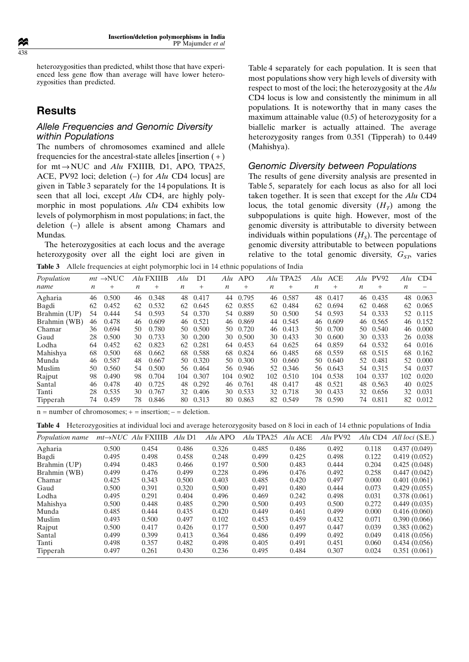heterozygosities than predicted, whilst those that have experienced less gene flow than average will have lower heterozygosities than predicted.

# **Results**

## *Allele Frequencies and Genomic Diversity within Populations*

The numbers of chromosomes examined and allele frequencies for the ancestral-state alleles [insertion  $(+)$ for mt → NUC and *Alu* FXIIIB, D1, APO, TPA25, ACE, PV92 loci; deletion (–) for *Alu* CD4 locus] are given in Table 3 separately for the 14 populations. It is seen that all loci, except *Alu* CD4, are highly polymorphic in most populations. *Alu* CD4 exhibits low levels of polymorphism in most populations; in fact, the deletion (–) allele is absent among Chamars and Mundas.

The heterozygosities at each locus and the average heterozygosity over all the eight loci are given in

**Table 3** Allele frequencies at eight polymorphic loci in 14 ethnic populations of India

Table 4 separately for each population. It is seen that most populations show very high levels of diversity with respect to most of the loci; the heterozygosity at the *Alu* CD4 locus is low and consistently the minimum in all populations. It is noteworthy that in many cases the maximum attainable value (0.5) of heterozygosity for a biallelic marker is actually attained. The average heterozygosity ranges from 0.351 (Tipperah) to 0.449 (Mahishya).

## *Genomic Diversity between Populations*

The results of gene diversity analysis are presented in Table 5, separately for each locus as also for all loci taken together. It is seen that except for the *Alu* CD4 locus, the total genomic diversity  $(H_T)$  among the subpopulations is quite high. However, most of the genomic diversity is attributable to diversity between individuals within populations  $(H<sub>S</sub>)$ . The percentage of genomic diversity attributable to between populations relative to the total genomic diversity,  $G_{ST}$ , varies

| Population   |    | $mt \rightarrow NUC$ |     | $Alu$ FXIIIB | Alu | D <sub>1</sub> | Alu | <b>APO</b> |     | Alu TPA25 | Alu | ACE      |     | $Alu$ PV92 | Alu              | CD <sub>4</sub>   |
|--------------|----|----------------------|-----|--------------|-----|----------------|-----|------------|-----|-----------|-----|----------|-----|------------|------------------|-------------------|
| name         | n  | $^{+}$               | n   | $^{+}$       | n   | $^{+}$         | n   | $^{+}$     | n   | $^{+}$    | n   | $^{+}$   | n   | $^{+}$     | $\boldsymbol{n}$ | $\qquad \qquad -$ |
| Agharia      | 46 | 0.500                | 46  | 0.348        | 48  | 0.417          | 44  | 0.795      |     | 46 0.587  |     | 48 0.417 |     | 46 0.435   |                  | 48 0.063          |
| Bagdi        | 62 | 0.452                | 62  | 0.532        | 62  | 0.645          | 62  | 0.855      | 62  | 0.484     | 62  | 0.694    | 62  | 0.468      | 62               | 0.065             |
| Brahmin (UP) | 54 | 0.444                | 54  | 0.593        |     | 54 0.370       | 54  | 0.889      | 50  | 0.500     |     | 54 0.593 | 54  | 0.333      |                  | 52 0.115          |
| Brahmin (WB) | 46 | 0.478                | 46  | 0.609        | 46  | 0.521          | 46  | 0.869      | 44  | 0.545     | 46  | 0.609    | 46  | 0.565      | 46               | 0.152             |
| Chamar       | 36 | 0.694                | 50  | 0.780        |     | 50 0.500       | 50  | 0.720      | 46  | 0.413     |     | 50 0.700 | 50  | 0.540      | 46               | 0.000             |
| Gaud         | 28 | 0.500                | 30  | 0.733        |     | 30 0.200       | 30. | 0.500      | 30  | 0.433     |     | 30 0.600 | 30. | 0.333      | 26               | 0.038             |
| Lodha        | 64 | 0.452                | 62. | 0.823        | 62  | 0.281          | 64  | 0.453      | 64  | 0.625     | 64  | 0.859    | 64  | 0.532      |                  | 64 0.016          |
| Mahishya     | 68 | 0.500                | 68  | 0.662        |     | 68 0.588       | 68  | 0.824      | 66  | 0.485     | 68  | 0.559    | 68  | 0.515      | 68               | 0.162             |
| Munda        | 46 | 0.587                | 48  | 0.667        |     | 50 0.320       |     | 50 0.300   |     | 50 0.660  |     | 50 0.640 |     | 52 0.481   |                  | 52 0.000          |
| Muslim       | 50 | 0.560                | 54  | 0.500        |     | 56 0.464       |     | 56 0.946   |     | 52 0.346  |     | 56 0.643 |     | 54 0.315   |                  | 54 0.037          |
| Rajput       | 98 | 0.490                | 98  | 0.704        | 104 | 0.307          | 104 | 0.902      | 102 | 0.510     | 104 | 0.538    | 104 | 0.337      | 102              | 0.020             |
| Santal       | 46 | 0.478                | 40  | 0.725        | 48  | 0.292          | 46  | 0.761      | 48  | 0.417     | 48  | 0.521    | 48  | 0.563      | 40               | 0.025             |
| Tanti        | 28 | 0.535                | 30  | 0.767        |     | 32 0.406       | 30  | 0.533      | 32. | 0.718     |     | 30 0.433 | 32  | 0.656      | 32               | 0.031             |
| Tipperah     | 74 | 0.459                | 78  | 0.846        | 80. | 0.313          | 80  | 0.863      |     | 82 0.549  |     | 78 0.590 | 74  | 0.811      | 82               | 0.012             |

 $n =$  number of chromosomes;  $+ =$  insertion;  $- =$  deletion.

**Table 4** Heterozygosities at individual loci and average heterozygosity based on 8 loci in each of 14 ethnic populations of India

| Population name |       | $mt \rightarrow NUC$ Alu FXIIIB | $Alu$ D1 | Alu APO | Alu TPA25 | Alu ACE | Alu PV92 | Alu CD4 | <i>All loci</i> (S.E.) |
|-----------------|-------|---------------------------------|----------|---------|-----------|---------|----------|---------|------------------------|
| Agharia         | 0.500 | 0.454                           | 0.486    | 0.326   | 0.485     | 0.486   | 0.492    | 0.118   | 0.437(0.049)           |
| Bagdi           | 0.495 | 0.498                           | 0.458    | 0.248   | 0.499     | 0.425   | 0.498    | 0.122   | 0.419(0.052)           |
| Brahmin (UP)    | 0.494 | 0.483                           | 0.466    | 0.197   | 0.500     | 0.483   | 0.444    | 0.204   | 0.425(0.048)           |
| Brahmin (WB)    | 0.499 | 0.476                           | 0.499    | 0.228   | 0.496     | 0.476   | 0.492    | 0.258   | 0.447(0.042)           |
| Chamar          | 0.425 | 0.343                           | 0.500    | 0.403   | 0.485     | 0.420   | 0.497    | 0.000   | 0.401(0.061)           |
| Gaud            | 0.500 | 0.391                           | 0.320    | 0.500   | 0.491     | 0.480   | 0.444    | 0.073   | 0.429(0.055)           |
| Lodha           | 0.495 | 0.291                           | 0.404    | 0.496   | 0.469     | 0.242   | 0.498    | 0.031   | 0.378(0.061)           |
| Mahishya        | 0.500 | 0.448                           | 0.485    | 0.290   | 0.500     | 0.493   | 0.500    | 0.272   | 0.449(0.035)           |
| Munda           | 0.485 | 0.444                           | 0.435    | 0.420   | 0.449     | 0.461   | 0.499    | 0.000   | 0.416(0.060)           |
| Muslim          | 0.493 | 0.500                           | 0.497    | 0.102   | 0.453     | 0.459   | 0.432    | 0.071   | 0.390(0.066)           |
| Rajput          | 0.500 | 0.417                           | 0.426    | 0.177   | 0.500     | 0.497   | 0.447    | 0.039   | 0.383(0.062)           |
| Santal          | 0.499 | 0.399                           | 0.413    | 0.364   | 0.486     | 0.499   | 0.492    | 0.049   | 0.418(0.056)           |
| Tanti           | 0.498 | 0.357                           | 0.482    | 0.498   | 0.405     | 0.491   | 0.451    | 0.060   | 0.434(0.056)           |
| Tipperah        | 0.497 | 0.261                           | 0.430    | 0.236   | 0.495     | 0.484   | 0.307    | 0.024   | 0.351(0.061)           |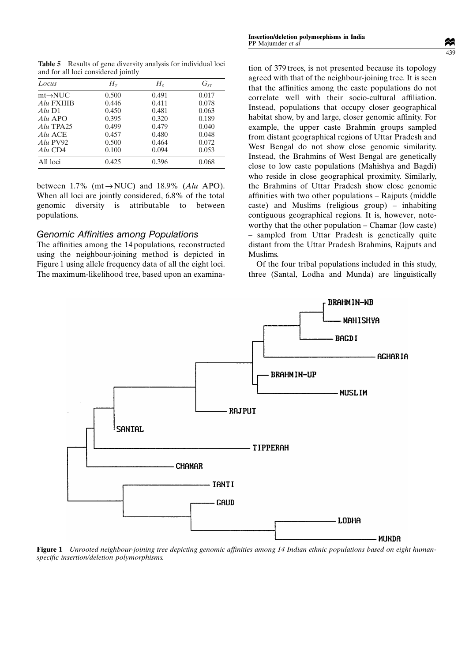| Locus                | $H_r$ | $H_{s}$ | $G_{ST}$ |
|----------------------|-------|---------|----------|
| $mt \rightarrow NUC$ | 0.500 | 0.491   | 0.017    |
| $Alu$ FXIIIB         | 0.446 | 0.411   | 0.078    |
| $Alu$ D1             | 0.450 | 0.481   | 0.063    |
| Alu APO              | 0.395 | 0.320   | 0.189    |
| $Alu$ TPA25          | 0.499 | 0.479   | 0.040    |
| $Alu$ ACE            | 0.457 | 0.480   | 0.048    |
| $Alu$ PV92           | 0.500 | 0.464   | 0.072    |
| $Alu$ CD4            | 0.100 | 0.094   | 0.053    |
| All loci             | 0.425 | 0.396   | 0.068    |

between  $1.7\%$  (mt $\rightarrow$ NUC) and  $18.9\%$  (*Alu* APO). When all loci are jointly considered, 6.8% of the total genomic diversity is attributable to between populations.

## *Genomic Affinities among Populations*

The affinities among the 14 populations, reconstructed using the neighbour-joining method is depicted in Figure 1 using allele frequency data of all the eight loci. The maximum-likelihood tree, based upon an examination of 379 trees, is not presented because its topology agreed with that of the neighbour-joining tree. It is seen that the affinities among the caste populations do not correlate well with their socio-cultural affiliation. Instead, populations that occupy closer geographical habitat show, by and large, closer genomic affinity. For example, the upper caste Brahmin groups sampled from distant geographical regions of Uttar Pradesh and West Bengal do not show close genomic similarity. Instead, the Brahmins of West Bengal are genetically close to low caste populations (Mahishya and Bagdi) who reside in close geographical proximity. Similarly, the Brahmins of Uttar Pradesh show close genomic affinities with two other populations – Rajputs (middle caste) and Muslims (religious group) – inhabiting contiguous geographical regions. It is, however, noteworthy that the other population – Chamar (low caste) – sampled from Uttar Pradesh is genetically quite distant from the Uttar Pradesh Brahmins, Rajputs and Muslims.

Of the four tribal populations included in this study, three (Santal, Lodha and Munda) are linguistically



**Figure 1** *Unrooted neighbour-joining tree depicting genomic affinities among 14 Indian ethnic populations based on eight humanspecific insertion/deletion polymorphisms.*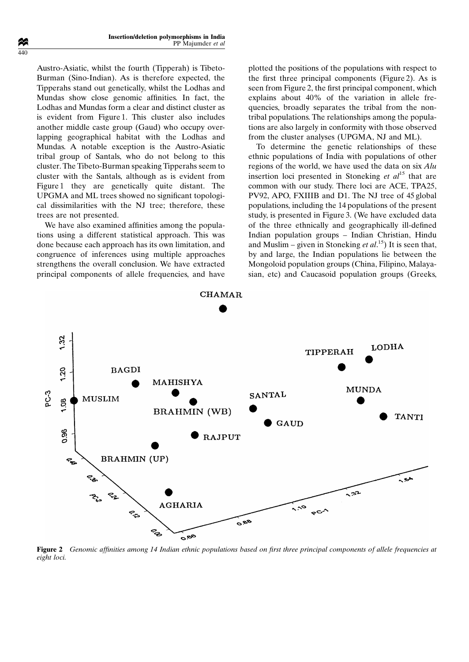Austro-Asiatic, whilst the fourth (Tipperah) is Tibeto-Burman (Sino-Indian). As is therefore expected, the Tipperahs stand out genetically, whilst the Lodhas and Mundas show close genomic affinities. In fact, the Lodhas and Mundas form a clear and distinct cluster as is evident from Figure 1. This cluster also includes another middle caste group (Gaud) who occupy overlapping geographical habitat with the Lodhas and Mundas. A notable exception is the Austro-Asiatic tribal group of Santals, who do not belong to this cluster. The Tibeto-Burman speaking Tipperahs seem to cluster with the Santals, although as is evident from Figure 1 they are genetically quite distant. The UPGMA and ML trees showed no significant topological dissimilarities with the NJ tree; therefore, these trees are not presented.

We have also examined affinities among the populations using a different statistical approach. This was done because each approach has its own limitation, and congruence of inferences using multiple approaches strengthens the overall conclusion. We have extracted principal components of allele frequencies, and have

plotted the positions of the populations with respect to the first three principal components (Figure 2). As is seen from Figure 2, the first principal component, which explains about 40% of the variation in allele frequencies, broadly separates the tribal from the nontribal populations. The relationships among the populations are also largely in conformity with those observed from the cluster analyses (UPGMA, NJ and ML).

To determine the genetic relationships of these ethnic populations of India with populations of other regions of the world, we have used the data on six *Alu* insertion loci presented in Stoneking *et al*<sup>15</sup> that are common with our study. There loci are ACE, TPA25, PV92, APO, FXIIIB and D1. The NJ tree of 45 global populations, including the 14 populations of the present study, is presented in Figure 3. (We have excluded data of the three ethnically and geographically ill-defined Indian population groups – Indian Christian, Hindu and Muslim – given in Stoneking *et al*. 15) It is seen that, by and large, the Indian populations lie between the Mongoloid population groups (China, Filipino, Malayasian, etc) and Caucasoid population groups (Greeks,



**Figure 2** *Genomic affinities among 14 Indian ethnic populations based on first three principal components of allele frequencies at eight loci.*

440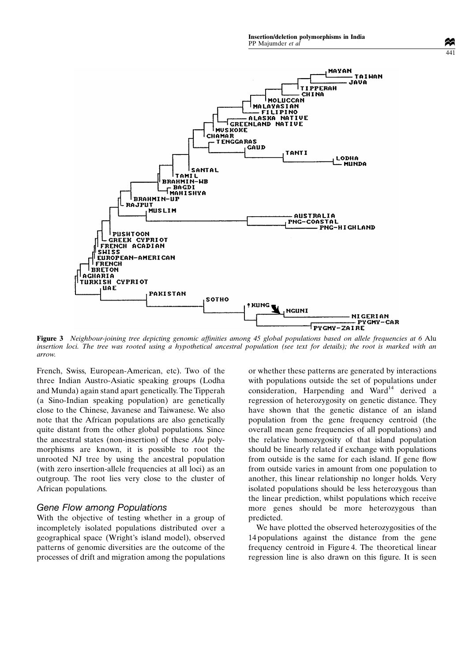**Insertion/deletion polymorphisms in India** PP Majumder *et al* t



**Figure 3** *Neighbour-joining tree depicting genomic affinities among 45 global populations based on allele frequencies at 6* Alu *insertion loci. The tree was rooted using a hypothetical ancestral population (see text for details); the root is marked with an arrow.*

French, Swiss, European-American, etc). Two of the three Indian Austro-Asiatic speaking groups (Lodha and Munda) again stand apart genetically. The Tipperah (a Sino-Indian speaking population) are genetically close to the Chinese, Javanese and Taiwanese. We also note that the African populations are also genetically quite distant from the other global populations. Since the ancestral states (non-insertion) of these *Alu* polymorphisms are known, it is possible to root the unrooted NJ tree by using the ancestral population (with zero insertion-allele frequencies at all loci) as an outgroup. The root lies very close to the cluster of African populations.

### *Gene Flow among Populations*

With the objective of testing whether in a group of incompletely isolated populations distributed over a geographical space (Wright's island model), observed patterns of genomic diversities are the outcome of the processes of drift and migration among the populations

or whether these patterns are generated by interactions with populations outside the set of populations under consideration, Harpending and  $Ward^{14}$  derived a regression of heterozygosity on genetic distance. They have shown that the genetic distance of an island population from the gene frequency centroid (the overall mean gene frequencies of all populations) and the relative homozygosity of that island population should be linearly related if exchange with populations from outside is the same for each island. If gene flow from outside varies in amount from one population to another, this linear relationship no longer holds. Very isolated populations should be less heterozygous than the linear prediction, whilst populations which receive more genes should be more heterozygous than predicted.

We have plotted the observed heterozygosities of the 14 populations against the distance from the gene frequency centroid in Figure 4. The theoretical linear regression line is also drawn on this figure. It is seen 441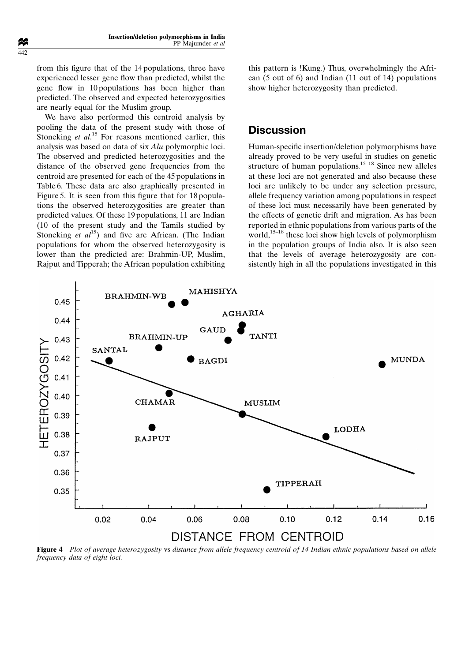from this figure that of the 14 populations, three have experienced lesser gene flow than predicted, whilst the gene flow in 10 populations has been higher than predicted. The observed and expected heterozygosities are nearly equal for the Muslim group.

We have also performed this centroid analysis by pooling the data of the present study with those of Stoneking *et al.*<sup>15</sup> For reasons mentioned earlier, this analysis was based on data of six *Alu* polymorphic loci. The observed and predicted heterozygosities and the distance of the observed gene frequencies from the centroid are presented for each of the 45 populations in Table 6. These data are also graphically presented in Figure 5. It is seen from this figure that for 18 populations the observed heterozygosities are greater than predicted values. Of these 19 populations, 11 are Indian (10 of the present study and the Tamils studied by Stoneking *et*  $al^{15}$ ) and five are African. (The Indian populations for whom the observed heterozygosity is lower than the predicted are: Brahmin-UP, Muslim, Rajput and Tipperah; the African population exhibiting

this pattern is !Kung.) Thus, overwhelmingly the African (5 out of 6) and Indian (11 out of 14) populations show higher heterozygosity than predicted.

# **Discussion**

Human-specific insertion/deletion polymorphisms have already proved to be very useful in studies on genetic structure of human populations.<sup>15–18</sup> Since new alleles at these loci are not generated and also because these loci are unlikely to be under any selection pressure, allele frequency variation among populations in respect of these loci must necessarily have been generated by the effects of genetic drift and migration. As has been reported in ethnic populations from various parts of the world,<sup>15–18</sup> these loci show high levels of polymorphism in the population groups of India also. It is also seen that the levels of average heterozygosity are consistently high in all the populations investigated in this



**Figure 4** *Plot of average heterozygosity* vs *distance from allele frequency centroid of 14 Indian ethnic populations based on allele frequency data of eight loci.*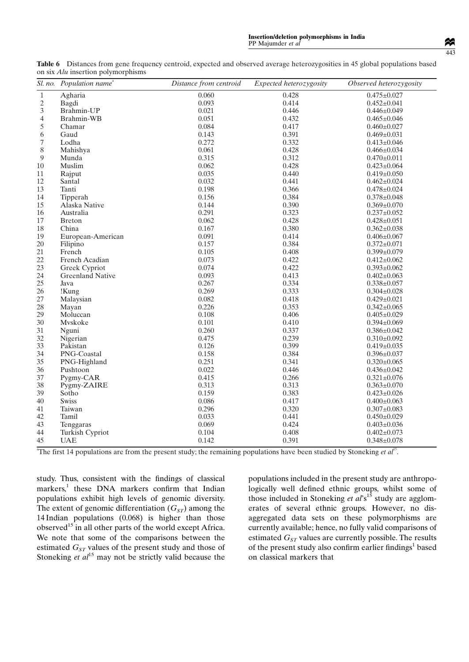|         | Sl. no. Population name <sup>a</sup> | Distance from centroid | Expected heterozygosity | Observed heterozygosity |
|---------|--------------------------------------|------------------------|-------------------------|-------------------------|
| $\,1\,$ | Agharia                              | 0.060                  | 0.428                   | $0.475 \pm 0.027$       |
| 2       | Bagdi                                | 0.093                  | 0.414                   | $0.452 \pm 0.041$       |
| 3       | Brahmin-UP                           | 0.021                  | 0.446                   | $0.446 \pm 0.049$       |
| 4       | Brahmin-WB                           | 0.051                  | 0.432                   | $0.465 \pm 0.046$       |
| 5       | Chamar                               | 0.084                  | 0.417                   | $0.460 \pm 0.027$       |
| 6       | Gaud                                 | 0.143                  | 0.391                   | $0.469 \pm 0.031$       |
| 7       | Lodha                                | 0.272                  | 0.332                   | $0.413 \pm 0.046$       |
| 8       | Mahishya                             | 0.061                  | 0.428                   | $0.466 \pm 0.034$       |
| 9       | Munda                                | 0.315                  | 0.312                   | $0.470 \pm 0.011$       |
| 10      | Muslim                               | 0.062                  | 0.428                   | $0.423 \pm 0.064$       |
| 11      | Rajput                               | 0.035                  | 0.440                   | $0.419 \pm 0.050$       |
| 12      | Santal                               | 0.032                  | 0.441                   | $0.462 \pm 0.024$       |
| 13      | Tanti                                | 0.198                  | 0.366                   | $0.478 \pm 0.024$       |
| 14      | Tipperah                             | 0.156                  | 0.384                   | $0.378 \pm 0.048$       |
| 15      | Alaska Native                        | 0.144                  | 0.390                   | $0.369 \pm 0.070$       |
| 16      | Australia                            | 0.291                  | 0.323                   | $0.237 \pm 0.052$       |
| 17      | <b>Breton</b>                        | 0.062                  | 0.428                   | $0.428 \pm 0.051$       |
| 18      | China                                | 0.167                  | 0.380                   | $0.362 \pm 0.038$       |
| 19      | European-American                    | 0.091                  | 0.414                   | $0.406 \pm 0.067$       |
| 20      | Filipino                             | 0.157                  | 0.384                   | $0.372 \pm 0.071$       |
| 21      | French                               | 0.105                  | 0.408                   | $0.399 \pm 0.079$       |
| 22      | French Acadian                       | 0.073                  | 0.422                   | $0.412 \pm 0.062$       |
| 23      | Greek Cypriot                        | 0.074                  | 0.422                   | $0.393 \pm 0.062$       |
| 24      | <b>Greenland Native</b>              | 0.093                  | 0.413                   | $0.402 \pm 0.063$       |
| 25      | Java                                 | 0.267                  | 0.334                   | $0.338 \pm 0.057$       |
| 26      | !Kung                                | 0.269                  | 0.333                   | $0.304 \pm 0.028$       |
| 27      | Malaysian                            | 0.082                  | 0.418                   | $0.429 \pm 0.021$       |
| 28      | Mayan                                | 0.226                  | 0.353                   | $0.342 \pm 0.065$       |
| 29      | Moluccan                             | 0.108                  | 0.406                   | $0.405 \pm 0.029$       |
| 30      | Myskoke                              | 0.101                  | 0.410                   | $0.394 \pm 0.069$       |
| 31      | Nguni                                | 0.260                  | 0.337                   | $0.386 \pm 0.042$       |
| 32      | Nigerian                             | 0.475                  | 0.239                   | $0.310\pm0.092$         |
| 33      | Pakistan                             | 0.126                  | 0.399                   | $0.419 \pm 0.035$       |
| 34      | PNG-Coastal                          | 0.158                  | 0.384                   | $0.396 \pm 0.037$       |
| 35      | PNG-Highland                         | 0.251                  | 0.341                   | $0.320 \pm 0.065$       |
| 36      | Pushtoon                             | 0.022                  | 0.446                   | $0.436 \pm 0.042$       |
| 37      | Pygmy-CAR                            | 0.415                  | 0.266                   | $0.321 \pm 0.076$       |
| 38      | Pygmy-ZAIRE                          | 0.313                  | 0.313                   | $0.363 \pm 0.070$       |
| 39      | Sotho                                | 0.159                  | 0.383                   | $0.423 \pm 0.026$       |
| 40      | Swiss                                | 0.086                  | 0.417                   | $0.400 \pm 0.063$       |
| 41      | Taiwan                               | 0.296                  | 0.320                   | $0.307 \pm 0.083$       |
| 42      | Tamil                                | 0.033                  | 0.441                   | $0.450 \pm 0.029$       |
| 43      | Tenggaras                            | 0.069                  | 0.424                   | $0.403 \pm 0.036$       |
| 44      | Turkish Cypriot                      | 0.104                  | 0.408                   | $0.402 \pm 0.073$       |
| 45      | <b>UAE</b>                           | 0.142                  | 0.391                   | $0.348 \pm 0.078$       |

<sup>a</sup>The first 14 populations are from the present study; the remaining populations have been studied by Stoneking *et al*<sup>15</sup>.

study. Thus, consistent with the findings of classical  $marks<sub>1</sub><sup>1</sup>$  these DNA markers confirm that Indian populations exhibit high levels of genomic diversity. The extent of genomic differentiation  $(G_{ST})$  among the 14 Indian populations (0.068) is higher than those observed<sup>15</sup> in all other parts of the world except Africa. We note that some of the comparisons between the estimated  $G_{ST}$  values of the present study and those of Stoneking *et al*<sup>15</sup> may not be strictly valid because the

populations included in the present study are anthropologically well defined ethnic groups, whilst some of those included in Stoneking *et al*'s<sup>15</sup> study are agglomerates of several ethnic groups. However, no disaggregated data sets on these polymorphisms are currently available; hence, no fully valid comparisons of estimated  $G_{ST}$  values are currently possible. The results of the present study also confirm earlier findings<sup>1</sup> based on classical markers that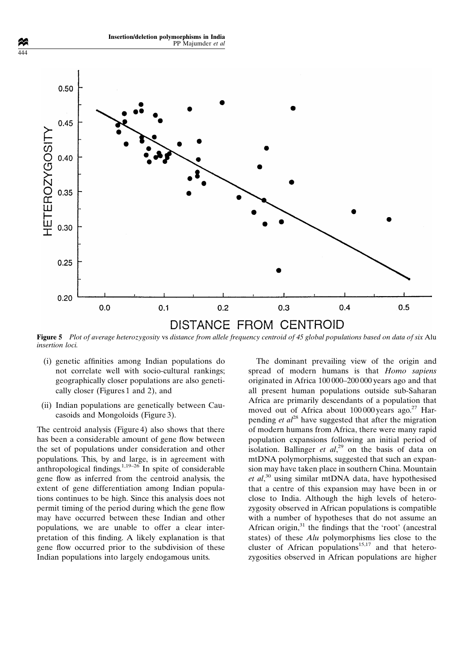**Insertion/deletion polymorphisms in India** PP Majumder *et al* 



**Figure 5** *Plot of average heterozygosity* vs *distance from allele frequency centroid of 45 global populations based on data of six* Alu *insertion loci.*

- (i) genetic affinities among Indian populations do not correlate well with socio-cultural rankings; geographically closer populations are also genetically closer (Figures 1 and 2), and
- (ii) Indian populations are genetically between Caucasoids and Mongoloids (Figure 3).

The centroid analysis (Figure 4) also shows that there has been a considerable amount of gene flow between the set of populations under consideration and other populations. This, by and large, is in agreement with anthropological findings.<sup>1,19–26</sup> In spite of considerable gene flow as inferred from the centroid analysis, the extent of gene differentiation among Indian populations continues to be high. Since this analysis does not permit timing of the period during which the gene flow may have occurred between these Indian and other populations, we are unable to offer a clear interpretation of this finding. A likely explanation is that gene flow occurred prior to the subdivision of these Indian populations into largely endogamous units.

The dominant prevailing view of the origin and spread of modern humans is that *Homo sapiens* originated in Africa 100 000–200 000 years ago and that all present human populations outside sub-Saharan Africa are primarily descendants of a population that moved out of Africa about  $100\,000$  years ago.<sup>27</sup> Harpending *et al*<sup>28</sup> have suggested that after the migration of modern humans from Africa, there were many rapid population expansions following an initial period of isolation. Ballinger *et al*, <sup>29</sup> on the basis of data on mtDNA polymorphisms, suggested that such an expansion may have taken place in southern China. Mountain *et al*, <sup>30</sup> using similar mtDNA data, have hypothesised that a centre of this expansion may have been in or close to India. Although the high levels of heterozygosity observed in African populations is compatible with a number of hypotheses that do not assume an African origin, $31$  the findings that the 'root' (ancestral states) of these *Alu* polymorphisms lies close to the cluster of African populations<sup>15,17</sup> and that heterozygosities observed in African populations are higher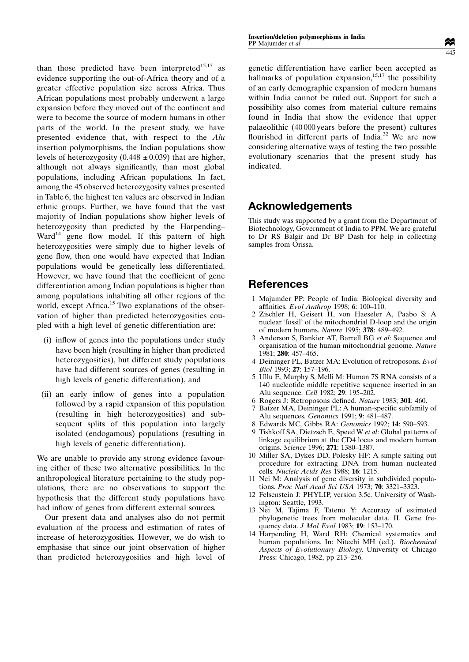than those predicted have been interpreted<sup>15,17</sup> as evidence supporting the out-of-Africa theory and of a greater effective population size across Africa. Thus African populations most probably underwent a large expansion before they moved out of the continent and were to become the source of modern humans in other parts of the world. In the present study, we have presented evidence that, with respect to the *Alu* insertion polymorphisms, the Indian populations show levels of heterozygosity (0.448  $\pm$  0.039) that are higher, although not always significantly, than most global populations, including African populations. In fact, among the 45 observed heterozygosity values presented in Table 6, the highest ten values are observed in Indian ethnic groups. Further, we have found that the vast majority of Indian populations show higher levels of heterozygosity than predicted by the Harpending– Ward<sup>14</sup> gene flow model. If this pattern of high heterozygosities were simply due to higher levels of gene flow, then one would have expected that Indian populations would be genetically less differentiated. However, we have found that the coefficient of gene differentiation among Indian populations is higher than among populations inhabiting all other regions of the world, except Africa.<sup>15</sup> Two explanations of the observation of higher than predicted heterozygosities coupled with a high level of genetic differentiation are:

- (i) inflow of genes into the populations under study have been high (resulting in higher than predicted heterozygosities), but different study populations have had different sources of genes (resulting in high levels of genetic differentiation), and
- (ii) an early inflow of genes into a population followed by a rapid expansion of this population (resulting in high heterozygosities) and subsequent splits of this population into largely isolated (endogamous) populations (resulting in high levels of genetic differentiation).

We are unable to provide any strong evidence favouring either of these two alternative possibilities. In the anthropological literature pertaining to the study populations, there are no observations to support the hypothesis that the different study populations have had inflow of genes from different external sources.

Our present data and analyses also do not permit evaluation of the process and estimation of rates of increase of heterozygosities. However, we do wish to emphasise that since our joint observation of higher than predicted heterozygosities and high level of genetic differentiation have earlier been accepted as hallmarks of population expansion, $15,17$  the possibility of an early demographic expansion of modern humans within India cannot be ruled out. Support for such a possibility also comes from material culture remains found in India that show the evidence that upper palaeolithic (40 000 years before the present) cultures flourished in different parts of India. $32$  We are now considering alternative ways of testing the two possible evolutionary scenarios that the present study has indicated.

# **Acknowledgements**

This study was supported by a grant from the Department of Biotechnology, Government of India to PPM. We are grateful to Dr RS Balgir and Dr BP Dash for help in collecting samples from Orissa.

# **References**

- 1 Majumder PP: People of India: Biological diversity and affinities. *Evol Anthrop* 1998; **6**: 100–110.
- 2 Zischler H, Geisert H, von Haeseler A, Paabo S: A nuclear 'fossil' of the mitochondrial D-loop and the origin of modern humans. *Nature* 1995; **378**: 489–492.
- 3 Anderson S, Bankier AT, Barrell BG *et al*: Sequence and organisation of the human mitochondrial genome. *Nature* 1981; **280**: 457–465.
- 4 Deininger PL, Batzer MA: Evolution of retroposons. *Evol Biol* 1993; **27**: 157–196.
- 5 Ullu E, Murphy S, Melli M: Human 7S RNA consists of a 140 nucleotide middle repetitive sequence inserted in an Alu sequence. *Cell* 1982; **29**: 195–202.
- 6 Rogers J: Retroposons defined. *Nature* 1983; **301**: 460.
- 7 Batzer MA, Deininger PL: A human-specific subfamily of Alu sequences. *Genomics* 1991; **9**: 481–487.
- 8 Edwards MC, Gibbs RA: *Genomics* 1992; **14**: 590–593.
- 9 Tishkoff SA, Dietzsch E, Speed W *et al*: Global patterns of linkage equilibrium at the CD4 locus and modern human origins. *Science* 1996; **271**: 1380–1387.
- 10 Miller SA, Dykes DD, Polesky HF: A simple salting out procedure for extracting DNA from human nucleated cells. *Nucleic Acids Res* 1988; **16**: 1215.
- 11 Nei M: Analysis of gene diversity in subdivided populations. *Proc Natl Acad Sci USA* 1973; **70**: 3321–3323.
- 12 Felsenstein J: PHYLIP, version 3.5c. University of Washington: Seattle, 1993.
- 13 Nei M, Tajima F, Tateno Y: Accuracy of estimated phylogenetic trees from molecular data. II. Gene frequency data. *J Mol Evol* 1983; **19**: 153–170.
- 14 Harpending H, Ward RH: Chemical systematics and human populations. In: Nitechi MH (ed.). *Biochemical Aspects of Evolutionary Biology*. University of Chicago Press: Chicago, 1982, pp 213–256.